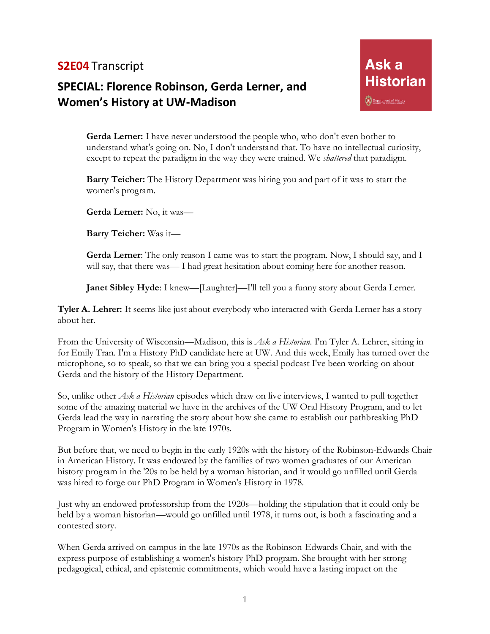## **S2E04** Transcript

# **SPECIAL: Florence Robinson, Gerda Lerner, and Women's History at UW-Madison**

**Gerda Lerner:** I have never understood the people who, who don't even bother to understand what's going on. No, I don't understand that. To have no intellectual curiosity, except to repeat the paradigm in the way they were trained. We *shattered* that paradigm.

**Barry Teicher:** The History Department was hiring you and part of it was to start the women's program.

**Gerda Lerner:** No, it was—

**Barry Teicher:** Was it—

**Gerda Lerner**: The only reason I came was to start the program. Now, I should say, and I will say, that there was— I had great hesitation about coming here for another reason.

**Janet Sibley Hyde**: I knew—[Laughter]—I'll tell you a funny story about Gerda Lerner.

**Tyler A. Lehrer:** It seems like just about everybody who interacted with Gerda Lerner has a story about her.

From the University of Wisconsin—Madison, this is *Ask a Historian*. I'm Tyler A. Lehrer, sitting in for Emily Tran. I'm a History PhD candidate here at UW. And this week, Emily has turned over the microphone, so to speak, so that we can bring you a special podcast I've been working on about Gerda and the history of the History Department.

So, unlike other *Ask a Historian* episodes which draw on live interviews, I wanted to pull together some of the amazing material we have in the archives of the UW Oral History Program, and to let Gerda lead the way in narrating the story about how she came to establish our pathbreaking PhD Program in Women's History in the late 1970s.

But before that, we need to begin in the early 1920s with the history of the Robinson-Edwards Chair in American History. It was endowed by the families of two women graduates of our American history program in the '20s to be held by a woman historian, and it would go unfilled until Gerda was hired to forge our PhD Program in Women's History in 1978.

Just why an endowed professorship from the 1920s—holding the stipulation that it could only be held by a woman historian—would go unfilled until 1978, it turns out, is both a fascinating and a contested story.

When Gerda arrived on campus in the late 1970s as the Robinson-Edwards Chair, and with the express purpose of establishing a women's history PhD program. She brought with her strong pedagogical, ethical, and epistemic commitments, which would have a lasting impact on the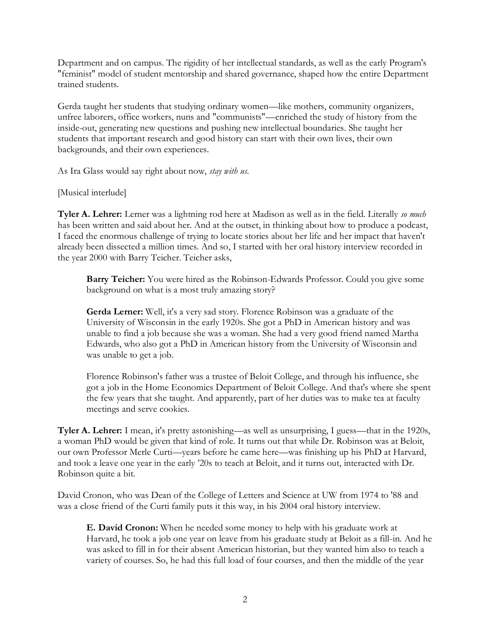Department and on campus. The rigidity of her intellectual standards, as well as the early Program's "feminist" model of student mentorship and shared governance, shaped how the entire Department trained students.

Gerda taught her students that studying ordinary women—like mothers, community organizers, unfree laborers, office workers, nuns and "communists"—enriched the study of history from the inside-out, generating new questions and pushing new intellectual boundaries. She taught her students that important research and good history can start with their own lives, their own backgrounds, and their own experiences.

As Ira Glass would say right about now, *stay with us*.

[Musical interlude]

**Tyler A. Lehrer:** Lerner was a lightning rod here at Madison as well as in the field. Literally *so much*  has been written and said about her. And at the outset, in thinking about how to produce a podcast, I faced the enormous challenge of trying to locate stories about her life and her impact that haven't already been dissected a million times. And so, I started with her oral history interview recorded in the year 2000 with Barry Teicher. Teicher asks,

**Barry Teicher:** You were hired as the Robinson-Edwards Professor. Could you give some background on what is a most truly amazing story?

**Gerda Lerner:** Well, it's a very sad story. Florence Robinson was a graduate of the University of Wisconsin in the early 1920s. She got a PhD in American history and was unable to find a job because she was a woman. She had a very good friend named Martha Edwards, who also got a PhD in American history from the University of Wisconsin and was unable to get a job.

Florence Robinson's father was a trustee of Beloit College, and through his influence, she got a job in the Home Economics Department of Beloit College. And that's where she spent the few years that she taught. And apparently, part of her duties was to make tea at faculty meetings and serve cookies.

**Tyler A. Lehrer:** I mean, it's pretty astonishing—as well as unsurprising, I guess—that in the 1920s, a woman PhD would be given that kind of role. It turns out that while Dr. Robinson was at Beloit, our own Professor Merle Curti—years before he came here—was finishing up his PhD at Harvard, and took a leave one year in the early '20s to teach at Beloit, and it turns out, interacted with Dr. Robinson quite a bit.

David Cronon, who was Dean of the College of Letters and Science at UW from 1974 to '88 and was a close friend of the Curti family puts it this way, in his 2004 oral history interview.

**E. David Cronon:** When he needed some money to help with his graduate work at Harvard, he took a job one year on leave from his graduate study at Beloit as a fill-in. And he was asked to fill in for their absent American historian, but they wanted him also to teach a variety of courses. So, he had this full load of four courses, and then the middle of the year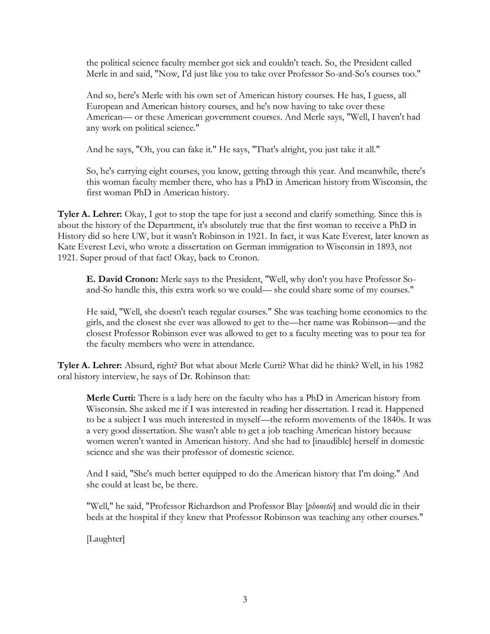the political science faculty member got sick and couldn't teach. So, the President called Merle in and said, "Now, I'd just like you to take over Professor So-and-So's courses too."

And so, here's Merle with his own set of American history courses. He has, I guess, all European and American history courses, and he's now having to take over these American— or these American government courses. And Merle says, "Well, I haven't had any work on political science."

And he says, "Oh, you can fake it." He says, "That's alright, you just take it all."

So, he's carrying eight courses, you know, getting through this year. And meanwhile, there's this woman faculty member there, who has a PhD in American history from Wisconsin, the first woman PhD in American history.

**Tyler A. Lehrer:** Okay, I got to stop the tape for just a second and clarify something. Since this is about the history of the Department, it's absolutely true that the first woman to receive a PhD in History did so here UW, but it wasn't Robinson in 1921. In fact, it was Kate Everest, later known as Kate Everest Levi, who wrote a dissertation on German immigration to Wisconsin in 1893, not 1921. Super proud of that fact! Okay, back to Cronon.

**E. David Cronon:** Merle says to the President, "Well, why don't you have Professor Soand-So handle this, this extra work so we could— she could share some of my courses."

He said, "Well, she doesn't teach regular courses." She was teaching home economics to the girls, and the closest she ever was allowed to get to the—her name was Robinson—and the closest Professor Robinson ever was allowed to get to a faculty meeting was to pour tea for the faculty members who were in attendance.

**Tyler A. Lehrer:** Absurd, right? But what about Merle Curti? What did he think? Well, in his 1982 oral history interview, he says of Dr. Robinson that:

**Merle Curti:** There is a lady here on the faculty who has a PhD in American history from Wisconsin. She asked me if I was interested in reading her dissertation. I read it. Happened to be a subject I was much interested in myself—the reform movements of the 1840s. It was a very good dissertation. She wasn't able to get a job teaching American history because women weren't wanted in American history. And she had to [inaudible] herself in domestic science and she was their professor of domestic science.

And I said, "She's much better equipped to do the American history that I'm doing." And she could at least be, be there.

"Well," he said, "Professor Richardson and Professor Blay [*phonetic*] and would die in their beds at the hospital if they knew that Professor Robinson was teaching any other courses."

[Laughter]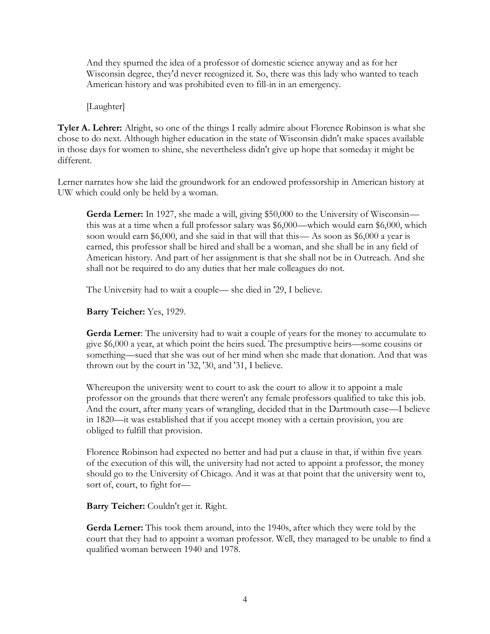And they spurned the idea of a professor of domestic science anyway and as for her Wisconsin degree, they'd never recognized it. So, there was this lady who wanted to teach American history and was prohibited even to fill-in in an emergency.

[Laughter]

**Tyler A. Lehrer:** Alright, so one of the things I really admire about Florence Robinson is what she chose to do next. Although higher education in the state of Wisconsin didn't make spaces available in those days for women to shine, she nevertheless didn't give up hope that someday it might be different.

Lerner narrates how she laid the groundwork for an endowed professorship in American history at UW which could only be held by a woman.

**Gerda Lerner:** In 1927, she made a will, giving \$50,000 to the University of Wisconsin this was at a time when a full professor salary was \$6,000—which would earn \$6,000, which soon would earn \$6,000, and she said in that will that this— As soon as \$6,000 a year is earned, this professor shall be hired and shall be a woman, and she shall be in any field of American history. And part of her assignment is that she shall not be in Outreach. And she shall not be required to do any duties that her male colleagues do not.

The University had to wait a couple— she died in '29, I believe.

**Barry Teicher:** Yes, 1929.

**Gerda Lerner**: The university had to wait a couple of years for the money to accumulate to give \$6,000 a year, at which point the heirs sued. The presumptive heirs—some cousins or something—sued that she was out of her mind when she made that donation. And that was thrown out by the court in '32, '30, and '31, I believe.

Whereupon the university went to court to ask the court to allow it to appoint a male professor on the grounds that there weren't any female professors qualified to take this job. And the court, after many years of wrangling, decided that in the Dartmouth case—I believe in 1820—it was established that if you accept money with a certain provision, you are obliged to fulfill that provision.

Florence Robinson had expected no better and had put a clause in that, if within five years of the execution of this will, the university had not acted to appoint a professor, the money should go to the University of Chicago. And it was at that point that the university went to, sort of, court, to fight for—

**Barry Teicher:** Couldn't get it. Right.

**Gerda Lerner:** This took them around, into the 1940s, after which they were told by the court that they had to appoint a woman professor. Well, they managed to be unable to find a qualified woman between 1940 and 1978.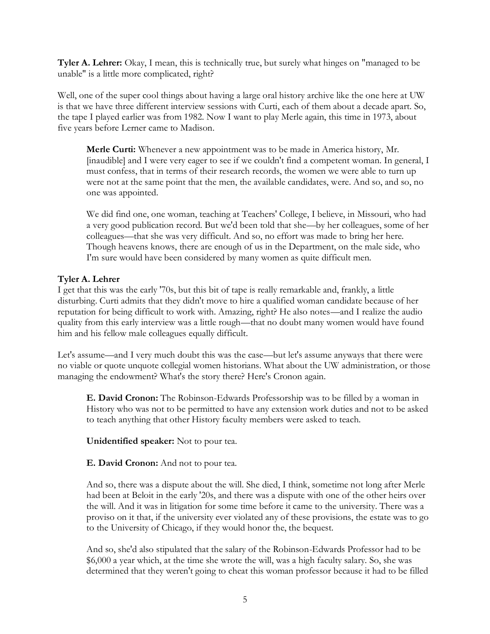**Tyler A. Lehrer:** Okay, I mean, this is technically true, but surely what hinges on "managed to be unable" is a little more complicated, right?

Well, one of the super cool things about having a large oral history archive like the one here at UW is that we have three different interview sessions with Curti, each of them about a decade apart. So, the tape I played earlier was from 1982. Now I want to play Merle again, this time in 1973, about five years before Lerner came to Madison.

**Merle Curti:** Whenever a new appointment was to be made in America history, Mr. [inaudible] and I were very eager to see if we couldn't find a competent woman. In general, I must confess, that in terms of their research records, the women we were able to turn up were not at the same point that the men, the available candidates, were. And so, and so, no one was appointed.

We did find one, one woman, teaching at Teachers' College, I believe, in Missouri, who had a very good publication record. But we'd been told that she—by her colleagues, some of her colleagues—that she was very difficult. And so, no effort was made to bring her here. Though heavens knows, there are enough of us in the Department, on the male side, who I'm sure would have been considered by many women as quite difficult men.

### **Tyler A. Lehrer**

I get that this was the early '70s, but this bit of tape is really remarkable and, frankly, a little disturbing. Curti admits that they didn't move to hire a qualified woman candidate because of her reputation for being difficult to work with. Amazing, right? He also notes—and I realize the audio quality from this early interview was a little rough—that no doubt many women would have found him and his fellow male colleagues equally difficult.

Let's assume—and I very much doubt this was the case—but let's assume anyways that there were no viable or quote unquote collegial women historians. What about the UW administration, or those managing the endowment? What's the story there? Here's Cronon again.

**E. David Cronon:** The Robinson-Edwards Professorship was to be filled by a woman in History who was not to be permitted to have any extension work duties and not to be asked to teach anything that other History faculty members were asked to teach.

**Unidentified speaker:** Not to pour tea.

**E. David Cronon:** And not to pour tea.

And so, there was a dispute about the will. She died, I think, sometime not long after Merle had been at Beloit in the early '20s, and there was a dispute with one of the other heirs over the will. And it was in litigation for some time before it came to the university. There was a proviso on it that, if the university ever violated any of these provisions, the estate was to go to the University of Chicago, if they would honor the, the bequest.

And so, she'd also stipulated that the salary of the Robinson-Edwards Professor had to be \$6,000 a year which, at the time she wrote the will, was a high faculty salary. So, she was determined that they weren't going to cheat this woman professor because it had to be filled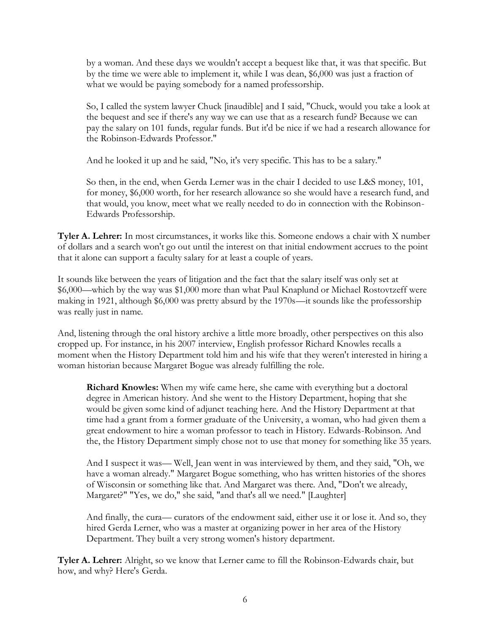by a woman. And these days we wouldn't accept a bequest like that, it was that specific. But by the time we were able to implement it, while I was dean, \$6,000 was just a fraction of what we would be paying somebody for a named professorship.

So, I called the system lawyer Chuck [inaudible] and I said, "Chuck, would you take a look at the bequest and see if there's any way we can use that as a research fund? Because we can pay the salary on 101 funds, regular funds. But it'd be nice if we had a research allowance for the Robinson-Edwards Professor."

And he looked it up and he said, "No, it's very specific. This has to be a salary."

So then, in the end, when Gerda Lerner was in the chair I decided to use L&S money, 101, for money, \$6,000 worth, for her research allowance so she would have a research fund, and that would, you know, meet what we really needed to do in connection with the Robinson-Edwards Professorship.

**Tyler A. Lehrer:** In most circumstances, it works like this. Someone endows a chair with X number of dollars and a search won't go out until the interest on that initial endowment accrues to the point that it alone can support a faculty salary for at least a couple of years.

It sounds like between the years of litigation and the fact that the salary itself was only set at \$6,000—which by the way was \$1,000 more than what Paul Knaplund or Michael Rostovtzeff were making in 1921, although \$6,000 was pretty absurd by the 1970s—it sounds like the professorship was really just in name.

And, listening through the oral history archive a little more broadly, other perspectives on this also cropped up. For instance, in his 2007 interview, English professor Richard Knowles recalls a moment when the History Department told him and his wife that they weren't interested in hiring a woman historian because Margaret Bogue was already fulfilling the role.

**Richard Knowles:** When my wife came here, she came with everything but a doctoral degree in American history. And she went to the History Department, hoping that she would be given some kind of adjunct teaching here. And the History Department at that time had a grant from a former graduate of the University, a woman, who had given them a great endowment to hire a woman professor to teach in History. Edwards-Robinson. And the, the History Department simply chose not to use that money for something like 35 years.

And I suspect it was— Well, Jean went in was interviewed by them, and they said, "Oh, we have a woman already." Margaret Bogue something, who has written histories of the shores of Wisconsin or something like that. And Margaret was there. And, "Don't we already, Margaret?" "Yes, we do," she said, "and that's all we need." [Laughter]

And finally, the cura— curators of the endowment said, either use it or lose it. And so, they hired Gerda Lerner, who was a master at organizing power in her area of the History Department. They built a very strong women's history department.

**Tyler A. Lehrer:** Alright, so we know that Lerner came to fill the Robinson-Edwards chair, but how, and why? Here's Gerda.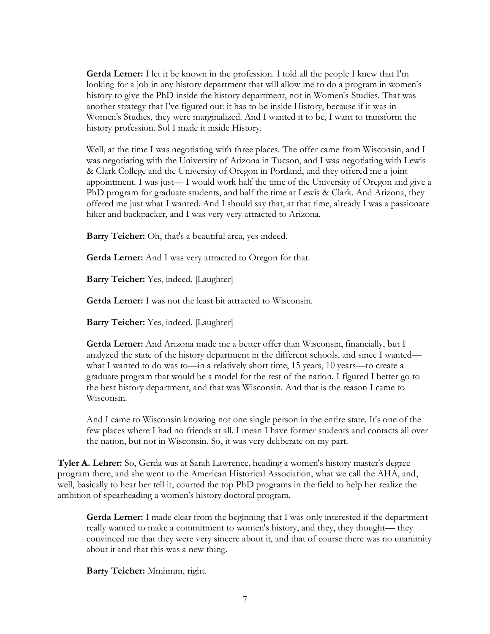**Gerda Lerner:** I let it be known in the profession. I told all the people I knew that I'm looking for a job in any history department that will allow me to do a program in women's history to give the PhD inside the history department, not in Women's Studies. That was another strategy that I've figured out: it has to be inside History, because if it was in Women's Studies, they were marginalized. And I wanted it to be, I want to transform the history profession. Sol I made it inside History.

Well, at the time I was negotiating with three places. The offer came from Wisconsin, and I was negotiating with the University of Arizona in Tucson, and I was negotiating with Lewis & Clark College and the University of Oregon in Portland, and they offered me a joint appointment. I was just— I would work half the time of the University of Oregon and give a PhD program for graduate students, and half the time at Lewis & Clark. And Arizona, they offered me just what I wanted. And I should say that, at that time, already I was a passionate hiker and backpacker, and I was very very attracted to Arizona.

**Barry Teicher:** Oh, that's a beautiful area, yes indeed.

**Gerda Lerner:** And I was very attracted to Oregon for that.

**Barry Teicher:** Yes, indeed. [Laughter]

**Gerda Lerner:** I was not the least bit attracted to Wisconsin.

**Barry Teicher:** Yes, indeed. [Laughter]

**Gerda Lerner:** And Arizona made me a better offer than Wisconsin, financially, but I analyzed the state of the history department in the different schools, and since I wanted what I wanted to do was to—in a relatively short time, 15 years, 10 years—to create a graduate program that would be a model for the rest of the nation. I figured I better go to the best history department, and that was Wisconsin. And that is the reason I came to Wisconsin.

And I came to Wisconsin knowing not one single person in the entire state. It's one of the few places where I had no friends at all. I mean I have former students and contacts all over the nation, but not in Wisconsin. So, it was very deliberate on my part.

**Tyler A. Lehrer:** So, Gerda was at Sarah Lawrence, heading a women's history master's degree program there, and she went to the American Historical Association, what we call the AHA, and, well, basically to hear her tell it, courted the top PhD programs in the field to help her realize the ambition of spearheading a women's history doctoral program.

**Gerda Lerner:** I made clear from the beginning that I was only interested if the department really wanted to make a commitment to women's history, and they, they thought— they convinced me that they were very sincere about it, and that of course there was no unanimity about it and that this was a new thing.

**Barry Teicher:** Mmhmm, right.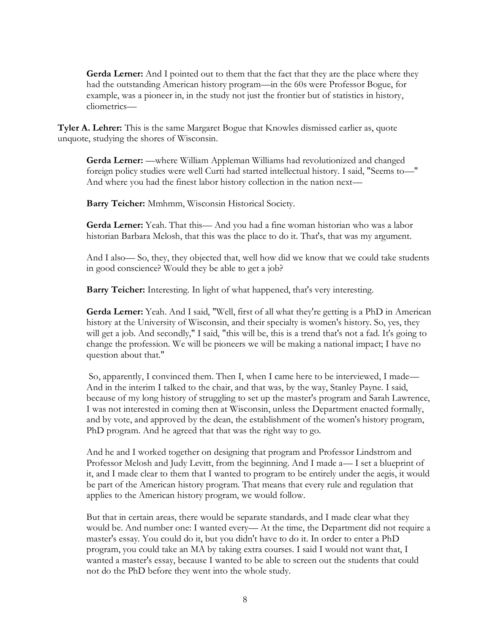**Gerda Lerner:** And I pointed out to them that the fact that they are the place where they had the outstanding American history program—in the 60s were Professor Bogue, for example, was a pioneer in, in the study not just the frontier but of statistics in history, cliometrics—

**Tyler A. Lehrer:** This is the same Margaret Bogue that Knowles dismissed earlier as, quote unquote, studying the shores of Wisconsin.

**Gerda Lerner:** —where William Appleman Williams had revolutionized and changed foreign policy studies were well Curti had started intellectual history. I said, "Seems to—" And where you had the finest labor history collection in the nation next—

**Barry Teicher:** Mmhmm, Wisconsin Historical Society.

**Gerda Lerner:** Yeah. That this— And you had a fine woman historian who was a labor historian Barbara Melosh, that this was the place to do it. That's, that was my argument.

And I also— So, they, they objected that, well how did we know that we could take students in good conscience? Would they be able to get a job?

**Barry Teicher:** Interesting. In light of what happened, that's very interesting.

**Gerda Lerner:** Yeah. And I said, "Well, first of all what they're getting is a PhD in American history at the University of Wisconsin, and their specialty is women's history. So, yes, they will get a job. And secondly," I said, "this will be, this is a trend that's not a fad. It's going to change the profession. We will be pioneers we will be making a national impact; I have no question about that."

So, apparently, I convinced them. Then I, when I came here to be interviewed, I made— And in the interim I talked to the chair, and that was, by the way, Stanley Payne. I said, because of my long history of struggling to set up the master's program and Sarah Lawrence, I was not interested in coming then at Wisconsin, unless the Department enacted formally, and by vote, and approved by the dean, the establishment of the women's history program, PhD program. And he agreed that that was the right way to go.

And he and I worked together on designing that program and Professor Lindstrom and Professor Melosh and Judy Levitt, from the beginning. And I made a— I set a blueprint of it, and I made clear to them that I wanted to program to be entirely under the aegis, it would be part of the American history program. That means that every rule and regulation that applies to the American history program, we would follow.

But that in certain areas, there would be separate standards, and I made clear what they would be. And number one: I wanted every— At the time, the Department did not require a master's essay. You could do it, but you didn't have to do it. In order to enter a PhD program, you could take an MA by taking extra courses. I said I would not want that, I wanted a master's essay, because I wanted to be able to screen out the students that could not do the PhD before they went into the whole study.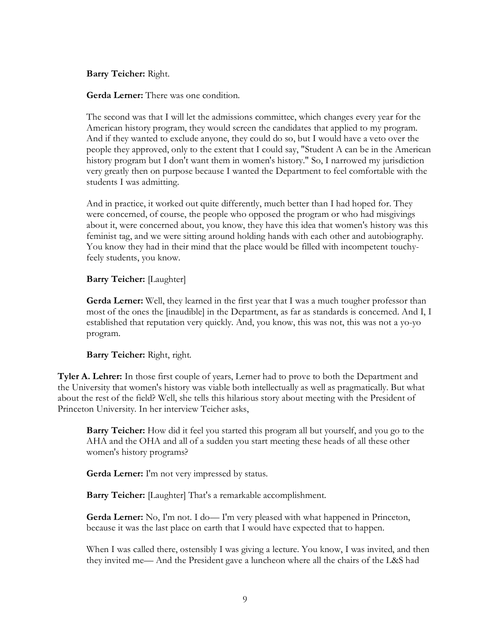**Barry Teicher:** Right.

**Gerda Lerner:** There was one condition.

The second was that I will let the admissions committee, which changes every year for the American history program, they would screen the candidates that applied to my program. And if they wanted to exclude anyone, they could do so, but I would have a veto over the people they approved, only to the extent that I could say, "Student A can be in the American history program but I don't want them in women's history." So, I narrowed my jurisdiction very greatly then on purpose because I wanted the Department to feel comfortable with the students I was admitting.

And in practice, it worked out quite differently, much better than I had hoped for. They were concerned, of course, the people who opposed the program or who had misgivings about it, were concerned about, you know, they have this idea that women's history was this feminist tag, and we were sitting around holding hands with each other and autobiography. You know they had in their mind that the place would be filled with incompetent touchyfeely students, you know.

### **Barry Teicher:** [Laughter]

Gerda Lerner: Well, they learned in the first year that I was a much tougher professor than most of the ones the [inaudible] in the Department, as far as standards is concerned. And I, I established that reputation very quickly. And, you know, this was not, this was not a yo-yo program.

### **Barry Teicher:** Right, right.

**Tyler A. Lehrer:** In those first couple of years, Lerner had to prove to both the Department and the University that women's history was viable both intellectually as well as pragmatically. But what about the rest of the field? Well, she tells this hilarious story about meeting with the President of Princeton University. In her interview Teicher asks,

**Barry Teicher:** How did it feel you started this program all but yourself, and you go to the AHA and the OHA and all of a sudden you start meeting these heads of all these other women's history programs?

**Gerda Lerner:** I'm not very impressed by status.

**Barry Teicher:** [Laughter] That's a remarkable accomplishment.

**Gerda Lerner:** No, I'm not. I do— I'm very pleased with what happened in Princeton, because it was the last place on earth that I would have expected that to happen.

When I was called there, ostensibly I was giving a lecture. You know, I was invited, and then they invited me— And the President gave a luncheon where all the chairs of the L&S had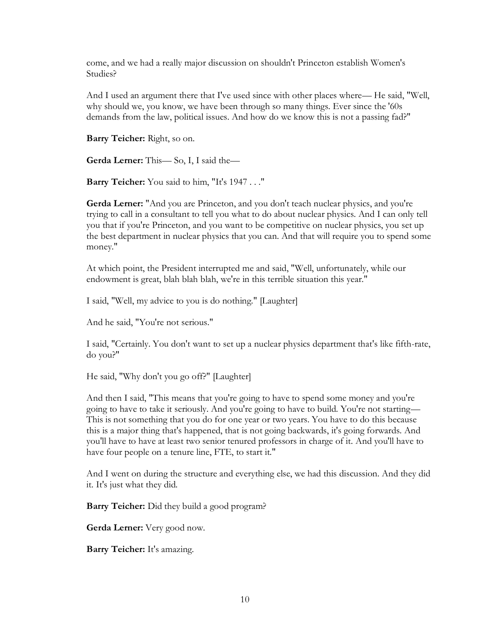come, and we had a really major discussion on shouldn't Princeton establish Women's Studies?

And I used an argument there that I've used since with other places where— He said, "Well, why should we, you know, we have been through so many things. Ever since the '60s demands from the law, political issues. And how do we know this is not a passing fad?"

**Barry Teicher:** Right, so on.

**Gerda Lerner:** This— So, I, I said the—

**Barry Teicher:** You said to him, "It's 1947 . . ."

**Gerda Lerner:** "And you are Princeton, and you don't teach nuclear physics, and you're trying to call in a consultant to tell you what to do about nuclear physics. And I can only tell you that if you're Princeton, and you want to be competitive on nuclear physics, you set up the best department in nuclear physics that you can. And that will require you to spend some money."

At which point, the President interrupted me and said, "Well, unfortunately, while our endowment is great, blah blah blah, we're in this terrible situation this year."

I said, "Well, my advice to you is do nothing." [Laughter]

And he said, "You're not serious."

I said, "Certainly. You don't want to set up a nuclear physics department that's like fifth-rate, do you?"

He said, "Why don't you go off?" [Laughter]

And then I said, "This means that you're going to have to spend some money and you're going to have to take it seriously. And you're going to have to build. You're not starting— This is not something that you do for one year or two years. You have to do this because this is a major thing that's happened, that is not going backwards, it's going forwards. And you'll have to have at least two senior tenured professors in charge of it. And you'll have to have four people on a tenure line, FTE, to start it."

And I went on during the structure and everything else, we had this discussion. And they did it. It's just what they did.

**Barry Teicher:** Did they build a good program?

**Gerda Lerner:** Very good now.

**Barry Teicher:** It's amazing.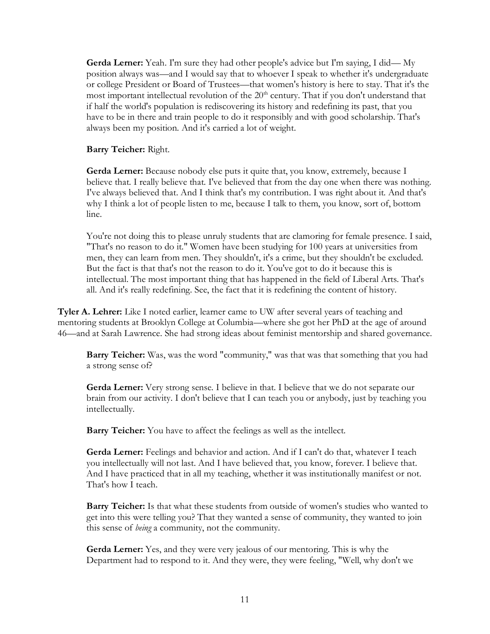**Gerda Lerner:** Yeah. I'm sure they had other people's advice but I'm saying, I did— My position always was—and I would say that to whoever I speak to whether it's undergraduate or college President or Board of Trustees—that women's history is here to stay. That it's the most important intellectual revolution of the  $20<sup>th</sup>$  century. That if you don't understand that if half the world's population is rediscovering its history and redefining its past, that you have to be in there and train people to do it responsibly and with good scholarship. That's always been my position. And it's carried a lot of weight.

**Barry Teicher:** Right.

Gerda Lerner: Because nobody else puts it quite that, you know, extremely, because I believe that. I really believe that. I've believed that from the day one when there was nothing. I've always believed that. And I think that's my contribution. I was right about it. And that's why I think a lot of people listen to me, because I talk to them, you know, sort of, bottom line.

You're not doing this to please unruly students that are clamoring for female presence. I said, "That's no reason to do it." Women have been studying for 100 years at universities from men, they can learn from men. They shouldn't, it's a crime, but they shouldn't be excluded. But the fact is that that's not the reason to do it. You've got to do it because this is intellectual. The most important thing that has happened in the field of Liberal Arts. That's all. And it's really redefining. See, the fact that it is redefining the content of history.

**Tyler A. Lehrer:** Like I noted earlier, learner came to UW after several years of teaching and mentoring students at Brooklyn College at Columbia—where she got her PhD at the age of around 46—and at Sarah Lawrence. She had strong ideas about feminist mentorship and shared governance.

**Barry Teicher:** Was, was the word "community," was that was that something that you had a strong sense of?

Gerda Lerner: Very strong sense. I believe in that. I believe that we do not separate our brain from our activity. I don't believe that I can teach you or anybody, just by teaching you intellectually.

**Barry Teicher:** You have to affect the feelings as well as the intellect.

**Gerda Lerner:** Feelings and behavior and action. And if I can't do that, whatever I teach you intellectually will not last. And I have believed that, you know, forever. I believe that. And I have practiced that in all my teaching, whether it was institutionally manifest or not. That's how I teach.

**Barry Teicher:** Is that what these students from outside of women's studies who wanted to get into this were telling you? That they wanted a sense of community, they wanted to join this sense of *being* a community, not the community.

**Gerda Lerner:** Yes, and they were very jealous of our mentoring. This is why the Department had to respond to it. And they were, they were feeling, "Well, why don't we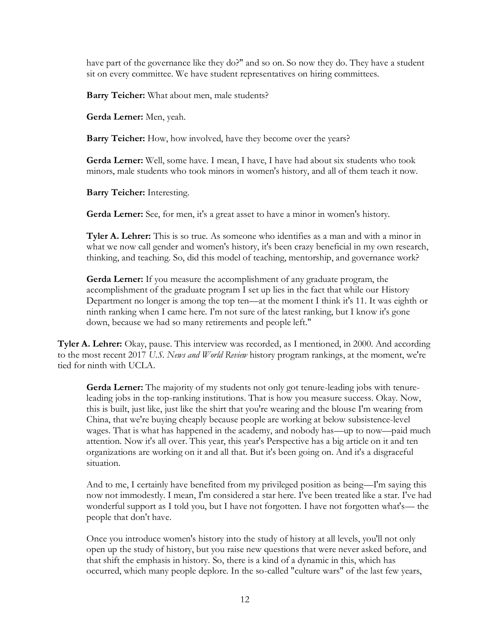have part of the governance like they do?" and so on. So now they do. They have a student sit on every committee. We have student representatives on hiring committees.

**Barry Teicher:** What about men, male students?

**Gerda Lerner:** Men, yeah.

**Barry Teicher:** How, how involved, have they become over the years?

**Gerda Lerner:** Well, some have. I mean, I have, I have had about six students who took minors, male students who took minors in women's history, and all of them teach it now.

**Barry Teicher:** Interesting.

**Gerda Lerner:** See, for men, it's a great asset to have a minor in women's history.

**Tyler A. Lehrer:** This is so true. As someone who identifies as a man and with a minor in what we now call gender and women's history, it's been crazy beneficial in my own research, thinking, and teaching. So, did this model of teaching, mentorship, and governance work?

**Gerda Lerner:** If you measure the accomplishment of any graduate program, the accomplishment of the graduate program I set up lies in the fact that while our History Department no longer is among the top ten—at the moment I think it's 11. It was eighth or ninth ranking when I came here. I'm not sure of the latest ranking, but I know it's gone down, because we had so many retirements and people left."

**Tyler A. Lehrer:** Okay, pause. This interview was recorded, as I mentioned, in 2000. And according to the most recent 2017 *U.S. News and World Review* history program rankings, at the moment, we're tied for ninth with UCLA.

**Gerda Lerner:** The majority of my students not only got tenure-leading jobs with tenureleading jobs in the top-ranking institutions. That is how you measure success. Okay. Now, this is built, just like, just like the shirt that you're wearing and the blouse I'm wearing from China, that we're buying cheaply because people are working at below subsistence-level wages. That is what has happened in the academy, and nobody has—up to now—paid much attention. Now it's all over. This year, this year's Perspective has a big article on it and ten organizations are working on it and all that. But it's been going on. And it's a disgraceful situation.

And to me, I certainly have benefited from my privileged position as being—I'm saying this now not immodestly. I mean, I'm considered a star here. I've been treated like a star. I've had wonderful support as I told you, but I have not forgotten. I have not forgotten what's— the people that don't have.

Once you introduce women's history into the study of history at all levels, you'll not only open up the study of history, but you raise new questions that were never asked before, and that shift the emphasis in history. So, there is a kind of a dynamic in this, which has occurred, which many people deplore. In the so-called "culture wars" of the last few years,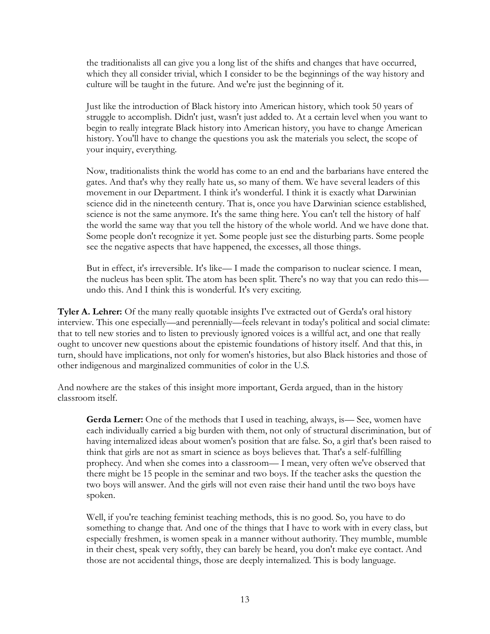the traditionalists all can give you a long list of the shifts and changes that have occurred, which they all consider trivial, which I consider to be the beginnings of the way history and culture will be taught in the future. And we're just the beginning of it.

Just like the introduction of Black history into American history, which took 50 years of struggle to accomplish. Didn't just, wasn't just added to. At a certain level when you want to begin to really integrate Black history into American history, you have to change American history. You'll have to change the questions you ask the materials you select, the scope of your inquiry, everything.

Now, traditionalists think the world has come to an end and the barbarians have entered the gates. And that's why they really hate us, so many of them. We have several leaders of this movement in our Department. I think it's wonderful. I think it is exactly what Darwinian science did in the nineteenth century. That is, once you have Darwinian science established, science is not the same anymore. It's the same thing here. You can't tell the history of half the world the same way that you tell the history of the whole world. And we have done that. Some people don't recognize it yet. Some people just see the disturbing parts. Some people see the negative aspects that have happened, the excesses, all those things.

But in effect, it's irreversible. It's like— I made the comparison to nuclear science. I mean, the nucleus has been split. The atom has been split. There's no way that you can redo this undo this. And I think this is wonderful. It's very exciting.

**Tyler A. Lehrer:** Of the many really quotable insights I've extracted out of Gerda's oral history interview. This one especially—and perennially—feels relevant in today's political and social climate: that to tell new stories and to listen to previously ignored voices is a willful act, and one that really ought to uncover new questions about the epistemic foundations of history itself. And that this, in turn, should have implications, not only for women's histories, but also Black histories and those of other indigenous and marginalized communities of color in the U.S.

And nowhere are the stakes of this insight more important, Gerda argued, than in the history classroom itself.

**Gerda Lerner:** One of the methods that I used in teaching, always, is — See, women have each individually carried a big burden with them, not only of structural discrimination, but of having internalized ideas about women's position that are false. So, a girl that's been raised to think that girls are not as smart in science as boys believes that. That's a self-fulfilling prophecy. And when she comes into a classroom— I mean, very often we've observed that there might be 15 people in the seminar and two boys. If the teacher asks the question the two boys will answer. And the girls will not even raise their hand until the two boys have spoken.

Well, if you're teaching feminist teaching methods, this is no good. So, you have to do something to change that. And one of the things that I have to work with in every class, but especially freshmen, is women speak in a manner without authority. They mumble, mumble in their chest, speak very softly, they can barely be heard, you don't make eye contact. And those are not accidental things, those are deeply internalized. This is body language.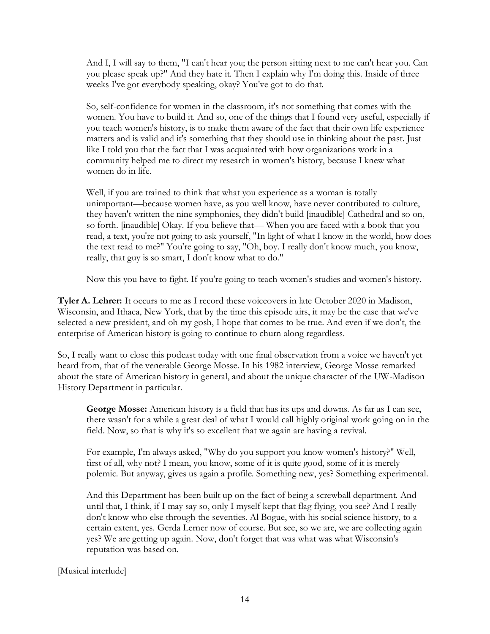And I, I will say to them, "I can't hear you; the person sitting next to me can't hear you. Can you please speak up?" And they hate it. Then I explain why I'm doing this. Inside of three weeks I've got everybody speaking, okay? You've got to do that.

So, self-confidence for women in the classroom, it's not something that comes with the women. You have to build it. And so, one of the things that I found very useful, especially if you teach women's history, is to make them aware of the fact that their own life experience matters and is valid and it's something that they should use in thinking about the past. Just like I told you that the fact that I was acquainted with how organizations work in a community helped me to direct my research in women's history, because I knew what women do in life.

Well, if you are trained to think that what you experience as a woman is totally unimportant—because women have, as you well know, have never contributed to culture, they haven't written the nine symphonies, they didn't build [inaudible] Cathedral and so on, so forth. [inaudible] Okay. If you believe that— When you are faced with a book that you read, a text, you're not going to ask yourself, "In light of what I know in the world, how does the text read to me?" You're going to say, "Oh, boy. I really don't know much, you know, really, that guy is so smart, I don't know what to do."

Now this you have to fight. If you're going to teach women's studies and women's history.

**Tyler A. Lehrer:** It occurs to me as I record these voiceovers in late October 2020 in Madison, Wisconsin, and Ithaca, New York, that by the time this episode airs, it may be the case that we've selected a new president, and oh my gosh, I hope that comes to be true. And even if we don't, the enterprise of American history is going to continue to churn along regardless.

So, I really want to close this podcast today with one final observation from a voice we haven't yet heard from, that of the venerable George Mosse. In his 1982 interview, George Mosse remarked about the state of American history in general, and about the unique character of the UW-Madison History Department in particular.

George Mosse: American history is a field that has its ups and downs. As far as I can see, there wasn't for a while a great deal of what I would call highly original work going on in the field. Now, so that is why it's so excellent that we again are having a revival.

For example, I'm always asked, "Why do you support you know women's history?" Well, first of all, why not? I mean, you know, some of it is quite good, some of it is merely polemic. But anyway, gives us again a profile. Something new, yes? Something experimental.

And this Department has been built up on the fact of being a screwball department. And until that, I think, if I may say so, only I myself kept that flag flying, you see? And I really don't know who else through the seventies. Al Bogue, with his social science history, to a certain extent, yes. Gerda Lerner now of course. But see, so we are, we are collecting again yes? We are getting up again. Now, don't forget that was what was what Wisconsin's reputation was based on.

[Musical interlude]